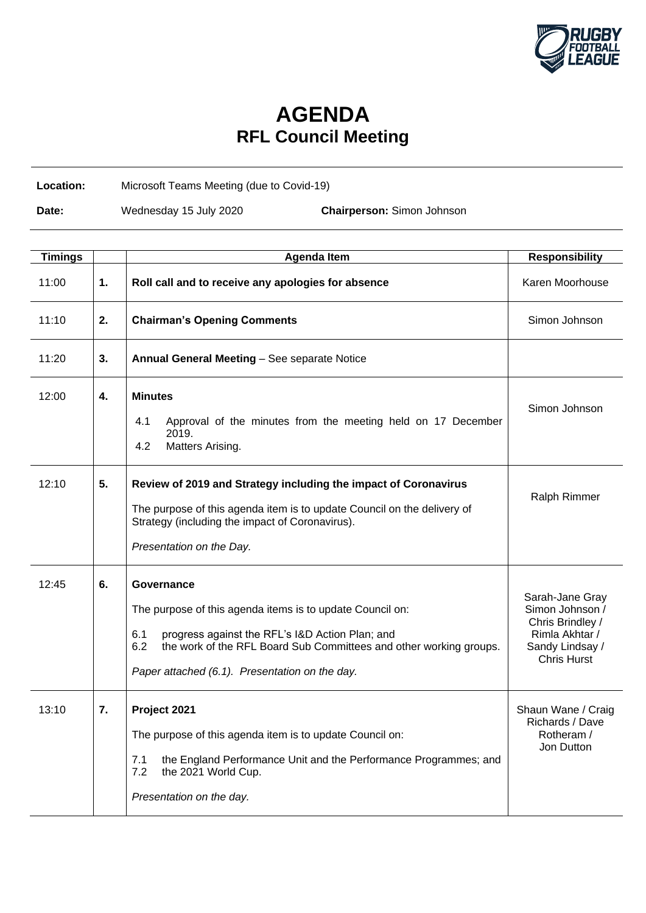

## **AGENDA RFL Council Meeting**

**Location:** Microsoft Teams Meeting (due to Covid-19)

**Date:** Wednesday 15 July 2020 **Chairperson:** Simon Johnson

| <b>Timings</b> |    | <b>Agenda Item</b>                                                                                                                                                                                                                                               | <b>Responsibility</b>                                                                                             |
|----------------|----|------------------------------------------------------------------------------------------------------------------------------------------------------------------------------------------------------------------------------------------------------------------|-------------------------------------------------------------------------------------------------------------------|
| 11:00          | 1. | Roll call and to receive any apologies for absence                                                                                                                                                                                                               | Karen Moorhouse                                                                                                   |
| 11:10          | 2. | <b>Chairman's Opening Comments</b>                                                                                                                                                                                                                               | Simon Johnson                                                                                                     |
| 11:20          | 3. | Annual General Meeting - See separate Notice                                                                                                                                                                                                                     |                                                                                                                   |
| 12:00          | 4. | <b>Minutes</b><br>Approval of the minutes from the meeting held on 17 December<br>4.1<br>2019.<br>4.2<br>Matters Arising.                                                                                                                                        | Simon Johnson                                                                                                     |
| 12:10          | 5. | Review of 2019 and Strategy including the impact of Coronavirus<br>The purpose of this agenda item is to update Council on the delivery of<br>Strategy (including the impact of Coronavirus).<br>Presentation on the Day.                                        | Ralph Rimmer                                                                                                      |
| 12:45          | 6. | Governance<br>The purpose of this agenda items is to update Council on:<br>6.1<br>progress against the RFL's I&D Action Plan; and<br>the work of the RFL Board Sub Committees and other working groups.<br>6.2<br>Paper attached (6.1). Presentation on the day. | Sarah-Jane Gray<br>Simon Johnson /<br>Chris Brindley /<br>Rimla Akhtar /<br>Sandy Lindsay /<br><b>Chris Hurst</b> |
| 13:10          | 7. | Project 2021<br>The purpose of this agenda item is to update Council on:<br>the England Performance Unit and the Performance Programmes; and<br>7.1<br>7.2<br>the 2021 World Cup.<br>Presentation on the day.                                                    | Shaun Wane / Craig<br>Richards / Dave<br>Rotheram /<br>Jon Dutton                                                 |